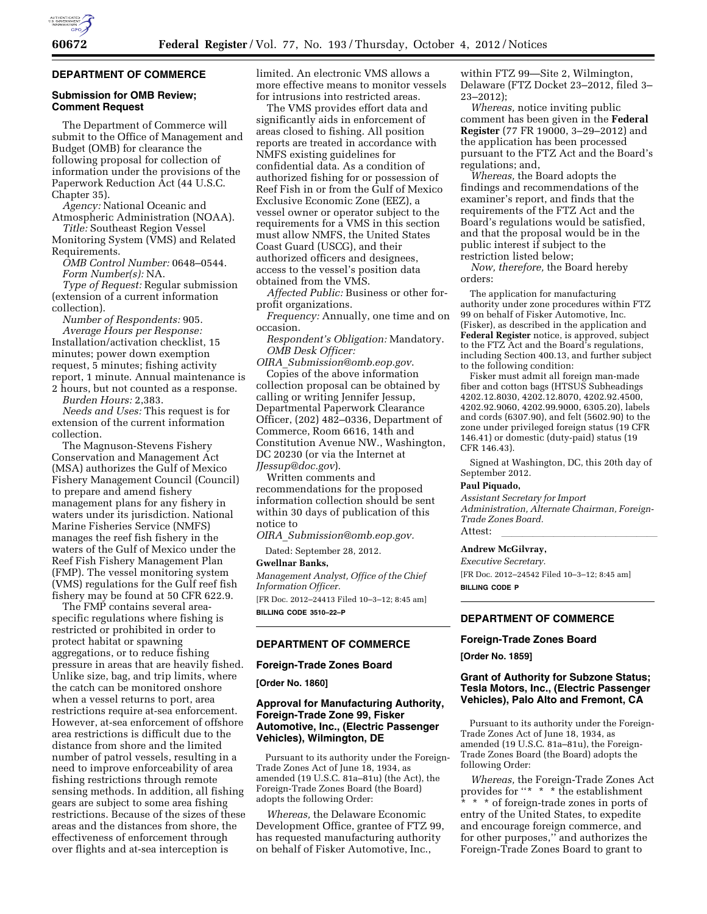

#### **DEPARTMENT OF COMMERCE**

### **Submission for OMB Review; Comment Request**

The Department of Commerce will submit to the Office of Management and Budget (OMB) for clearance the following proposal for collection of information under the provisions of the Paperwork Reduction Act (44 U.S.C. Chapter 35).

*Agency:* National Oceanic and Atmospheric Administration (NOAA).

*Title:* Southeast Region Vessel Monitoring System (VMS) and Related Requirements.

*OMB Control Number:* 0648–0544. *Form Number(s):* NA.

*Type of Request:* Regular submission (extension of a current information collection).

*Number of Respondents:* 905. *Average Hours per Response:*  Installation/activation checklist, 15 minutes; power down exemption request, 5 minutes; fishing activity report, 1 minute. Annual maintenance is 2 hours, but not counted as a response.

*Burden Hours:* 2,383.

*Needs and Uses:* This request is for extension of the current information collection.

The Magnuson-Stevens Fishery Conservation and Management Act (MSA) authorizes the Gulf of Mexico Fishery Management Council (Council) to prepare and amend fishery management plans for any fishery in waters under its jurisdiction. National Marine Fisheries Service (NMFS) manages the reef fish fishery in the waters of the Gulf of Mexico under the Reef Fish Fishery Management Plan (FMP). The vessel monitoring system (VMS) regulations for the Gulf reef fish fishery may be found at 50 CFR 622.9.

The FMP contains several areaspecific regulations where fishing is restricted or prohibited in order to protect habitat or spawning aggregations, or to reduce fishing pressure in areas that are heavily fished. Unlike size, bag, and trip limits, where the catch can be monitored onshore when a vessel returns to port, area restrictions require at-sea enforcement. However, at-sea enforcement of offshore area restrictions is difficult due to the distance from shore and the limited number of patrol vessels, resulting in a need to improve enforceability of area fishing restrictions through remote sensing methods. In addition, all fishing gears are subject to some area fishing restrictions. Because of the sizes of these areas and the distances from shore, the effectiveness of enforcement through over flights and at-sea interception is

limited. An electronic VMS allows a more effective means to monitor vessels for intrusions into restricted areas.

The VMS provides effort data and significantly aids in enforcement of areas closed to fishing. All position reports are treated in accordance with NMFS existing guidelines for confidential data. As a condition of authorized fishing for or possession of Reef Fish in or from the Gulf of Mexico Exclusive Economic Zone (EEZ), a vessel owner or operator subject to the requirements for a VMS in this section must allow NMFS, the United States Coast Guard (USCG), and their authorized officers and designees, access to the vessel's position data obtained from the VMS.

*Affected Public:* Business or other forprofit organizations.

*Frequency:* Annually, one time and on occasion.

*Respondent's Obligation:* Mandatory. *OMB Desk Officer:* 

*OIRA*\_*[Submission@omb.eop.gov](mailto:OIRA_Submission@omb.eop.gov)*. Copies of the above information collection proposal can be obtained by calling or writing Jennifer Jessup, Departmental Paperwork Clearance Officer, (202) 482–0336, Department of Commerce, Room 6616, 14th and Constitution Avenue NW., Washington, DC 20230 (or via the Internet at *[JJessup@doc.gov](mailto:JJessup@doc.gov)*).

Written comments and recommendations for the proposed information collection should be sent within 30 days of publication of this notice to

*OIRA*\_*[Submission@omb.eop.gov.](mailto:OIRA_Submission@omb.eop.gov)* 

Dated: September 28, 2012.

## **Gwellnar Banks,**

*Management Analyst, Office of the Chief Information Officer.* 

[FR Doc. 2012–24413 Filed 10–3–12; 8:45 am] **BILLING CODE 3510–22–P** 

## **DEPARTMENT OF COMMERCE**

#### **Foreign-Trade Zones Board**

**[Order No. 1860]** 

## **Approval for Manufacturing Authority, Foreign-Trade Zone 99, Fisker Automotive, Inc., (Electric Passenger Vehicles), Wilmington, DE**

Pursuant to its authority under the Foreign-Trade Zones Act of June 18, 1934, as amended (19 U.S.C. 81a–81u) (the Act), the Foreign-Trade Zones Board (the Board) adopts the following Order:

*Whereas,* the Delaware Economic Development Office, grantee of FTZ 99, has requested manufacturing authority on behalf of Fisker Automotive, Inc.,

within FTZ 99—Site 2, Wilmington, Delaware (FTZ Docket 23–2012, filed 3– 23–2012);

*Whereas,* notice inviting public comment has been given in the **Federal Register** (77 FR 19000, 3–29–2012) and the application has been processed pursuant to the FTZ Act and the Board's regulations; and,

*Whereas,* the Board adopts the findings and recommendations of the examiner's report, and finds that the requirements of the FTZ Act and the Board's regulations would be satisfied, and that the proposal would be in the public interest if subject to the restriction listed below;

*Now, therefore,* the Board hereby orders:

The application for manufacturing authority under zone procedures within FTZ 99 on behalf of Fisker Automotive, Inc. (Fisker), as described in the application and **Federal Register** notice, is approved, subject to the FTZ Act and the Board's regulations, including Section 400.13, and further subject to the following condition:

Fisker must admit all foreign man-made fiber and cotton bags (HTSUS Subheadings 4202.12.8030, 4202.12.8070, 4202.92.4500, 4202.92.9060, 4202.99.9000, 6305.20), labels and cords (6307.90), and felt (5602.90) to the zone under privileged foreign status (19 CFR 146.41) or domestic (duty-paid) status (19 CFR 146.43).

Signed at Washington, DC, this 20th day of September 2012.

## **Paul Piquado,**

*Assistant Secretary for Import Administration, Alternate Chairman, Foreign-Trade Zones Board.*  Attest: lllllllllllllll

#### **Andrew McGilvray,**

*Executive Secretary.* 

[FR Doc. 2012–24542 Filed 10–3–12; 8:45 am] **BILLING CODE P** 

## **DEPARTMENT OF COMMERCE**

## **Foreign-Trade Zones Board**

**[Order No. 1859]** 

## **Grant of Authority for Subzone Status; Tesla Motors, Inc., (Electric Passenger Vehicles), Palo Alto and Fremont, CA**

Pursuant to its authority under the Foreign-Trade Zones Act of June 18, 1934, as amended (19 U.S.C. 81a–81u), the Foreign-Trade Zones Board (the Board) adopts the following Order:

*Whereas,* the Foreign-Trade Zones Act provides for ''\* \* \* the establishment \* \* \* of foreign-trade zones in ports of entry of the United States, to expedite and encourage foreign commerce, and for other purposes,'' and authorizes the Foreign-Trade Zones Board to grant to